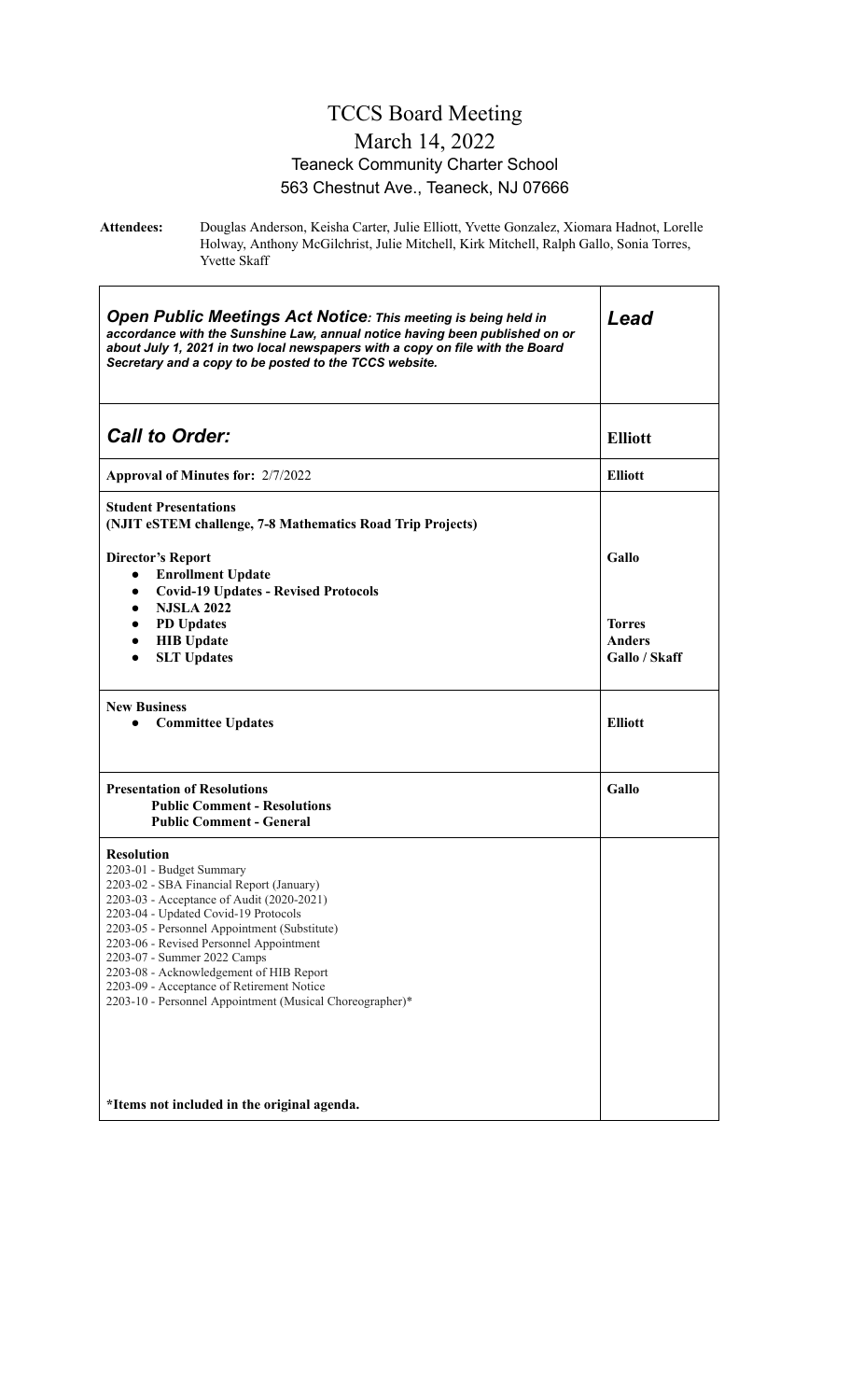### TCCS Board Meeting March 14, 2022 Teaneck Community Charter School 563 Chestnut Ave., Teaneck, NJ 07666

**Attendees:** Douglas Anderson, Keisha Carter, Julie Elliott, Yvette Gonzalez, Xiomara Hadnot, Lorelle Holway, Anthony McGilchrist, Julie Mitchell, Kirk Mitchell, Ralph Gallo, Sonia Torres, Yvette Skaff

| <b>Open Public Meetings Act Notice: This meeting is being held in</b><br>accordance with the Sunshine Law, annual notice having been published on or<br>about July 1, 2021 in two local newspapers with a copy on file with the Board<br>Secretary and a copy to be posted to the TCCS website.                                                                                                                                                              | Lead                                            |
|--------------------------------------------------------------------------------------------------------------------------------------------------------------------------------------------------------------------------------------------------------------------------------------------------------------------------------------------------------------------------------------------------------------------------------------------------------------|-------------------------------------------------|
| <b>Call to Order:</b>                                                                                                                                                                                                                                                                                                                                                                                                                                        | <b>Elliott</b>                                  |
| Approval of Minutes for: 2/7/2022                                                                                                                                                                                                                                                                                                                                                                                                                            | <b>Elliott</b>                                  |
| <b>Student Presentations</b><br>(NJIT eSTEM challenge, 7-8 Mathematics Road Trip Projects)                                                                                                                                                                                                                                                                                                                                                                   |                                                 |
| <b>Director's Report</b><br><b>Enrollment Update</b><br>$\bullet$<br><b>Covid-19 Updates - Revised Protocols</b><br>$\bullet$                                                                                                                                                                                                                                                                                                                                | Gallo                                           |
| <b>NJSLA 2022</b><br>$\bullet$<br><b>PD</b> Updates<br>$\bullet$<br><b>HIB</b> Update<br>$\bullet$<br><b>SLT Updates</b><br>$\bullet$                                                                                                                                                                                                                                                                                                                        | <b>Torres</b><br><b>Anders</b><br>Gallo / Skaff |
| <b>New Business</b><br><b>Committee Updates</b><br>$\bullet$                                                                                                                                                                                                                                                                                                                                                                                                 | <b>Elliott</b>                                  |
| <b>Presentation of Resolutions</b><br><b>Public Comment - Resolutions</b><br><b>Public Comment - General</b>                                                                                                                                                                                                                                                                                                                                                 | <b>Gallo</b>                                    |
| <b>Resolution</b><br>2203-01 - Budget Summary<br>2203-02 - SBA Financial Report (January)<br>2203-03 - Acceptance of Audit (2020-2021)<br>2203-04 - Updated Covid-19 Protocols<br>2203-05 - Personnel Appointment (Substitute)<br>2203-06 - Revised Personnel Appointment<br>2203-07 - Summer 2022 Camps<br>2203-08 - Acknowledgement of HIB Report<br>2203-09 - Acceptance of Retirement Notice<br>2203-10 - Personnel Appointment (Musical Choreographer)* |                                                 |
| *Items not included in the original agenda.                                                                                                                                                                                                                                                                                                                                                                                                                  |                                                 |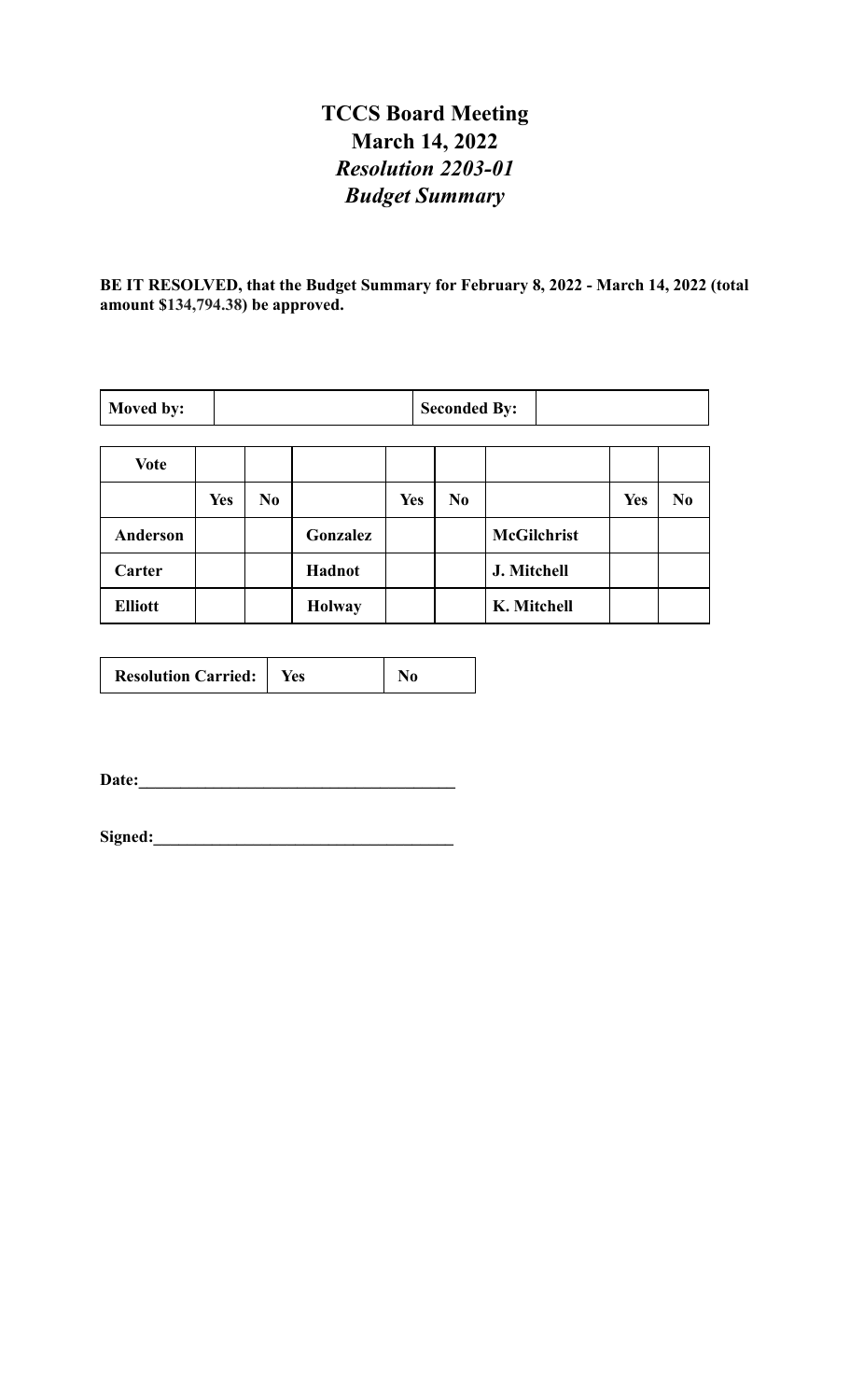# **TCCS Board Meeting March 14, 2022** *Resolution 2203-01 Budget Summary*

**BE IT RESOLVED, that the Budget Summary for February 8, 2022 - March 14, 2022 (total amount \$134,794.38) be approved.**

| Moved by:       |            |                |               |            | <b>Seconded By:</b> |                    |            |                |
|-----------------|------------|----------------|---------------|------------|---------------------|--------------------|------------|----------------|
|                 |            |                |               |            |                     |                    |            |                |
| <b>Vote</b>     |            |                |               |            |                     |                    |            |                |
|                 | <b>Yes</b> | N <sub>0</sub> |               | <b>Yes</b> | $\bf No$            |                    | <b>Yes</b> | N <sub>0</sub> |
| <b>Anderson</b> |            |                | Gonzalez      |            |                     | <b>McGilchrist</b> |            |                |
| Carter          |            |                | Hadnot        |            |                     | J. Mitchell        |            |                |
| <b>Elliott</b>  |            |                | <b>Holway</b> |            |                     | K. Mitchell        |            |                |

| <b>Resolution Carried:</b> | Yes |  |
|----------------------------|-----|--|
|----------------------------|-----|--|

**Date:\_\_\_\_\_\_\_\_\_\_\_\_\_\_\_\_\_\_\_\_\_\_\_\_\_\_\_\_\_\_\_\_\_\_\_\_\_\_**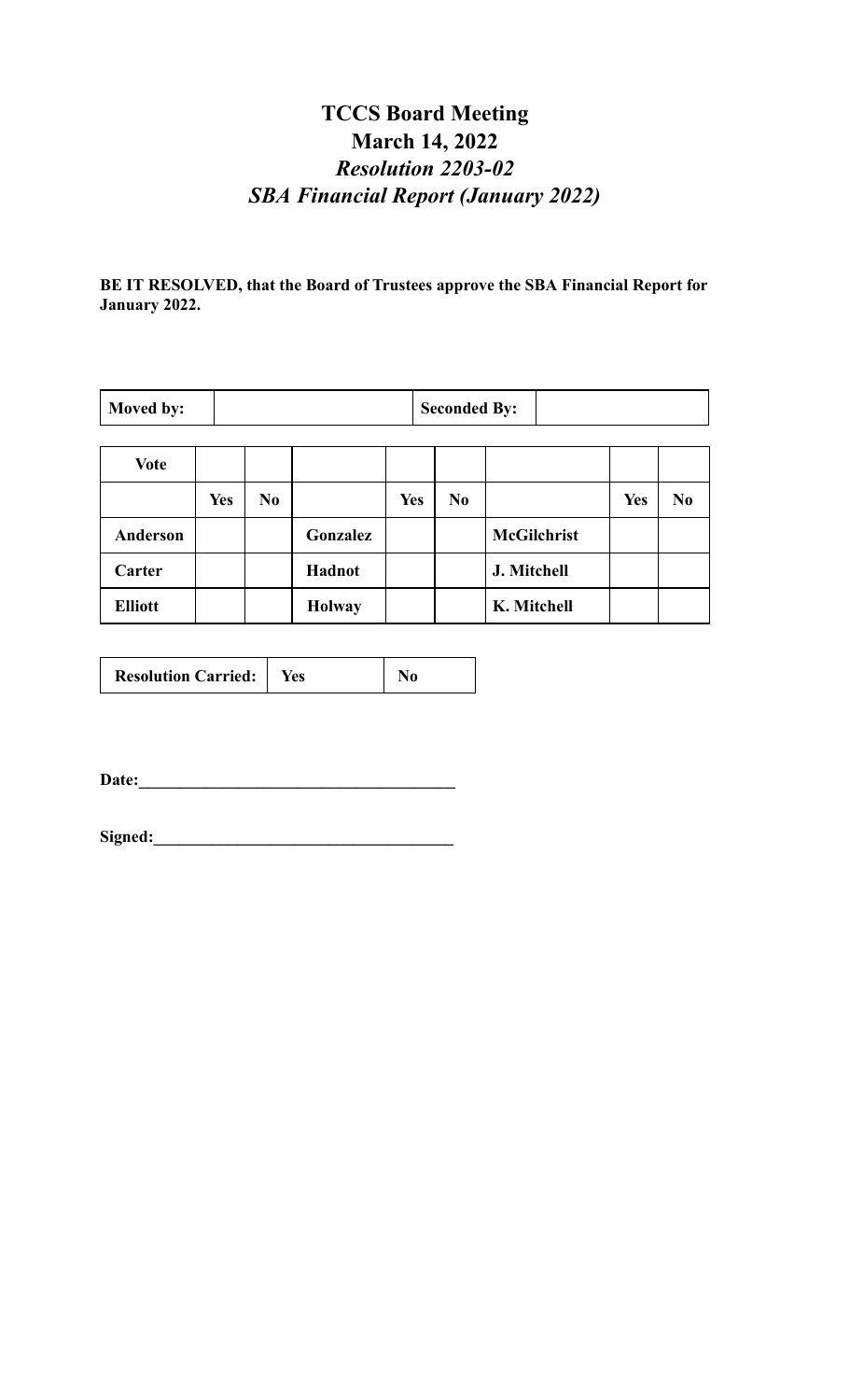# **TCCS Board Meeting March 14, 2022** *Resolution 2203-02 SBA Financial Report (January 2022)*

**BE IT RESOLVED, that the Board of Trustees approve the SBA Financial Report for January 2022.**

| Moved by:       |            |    |               |            | <b>Seconded By:</b> |                    |            |          |
|-----------------|------------|----|---------------|------------|---------------------|--------------------|------------|----------|
| <b>Vote</b>     |            |    |               |            |                     |                    |            |          |
|                 | <b>Yes</b> | No |               | <b>Yes</b> | No                  |                    | <b>Yes</b> | $\bf No$ |
| <b>Anderson</b> |            |    | Gonzalez      |            |                     | <b>McGilchrist</b> |            |          |
| Carter          |            |    | Hadnot        |            |                     | J. Mitchell        |            |          |
| <b>Elliott</b>  |            |    | <b>Holway</b> |            |                     | K. Mitchell        |            |          |

**Date:\_\_\_\_\_\_\_\_\_\_\_\_\_\_\_\_\_\_\_\_\_\_\_\_\_\_\_\_\_\_\_\_\_\_\_\_\_\_**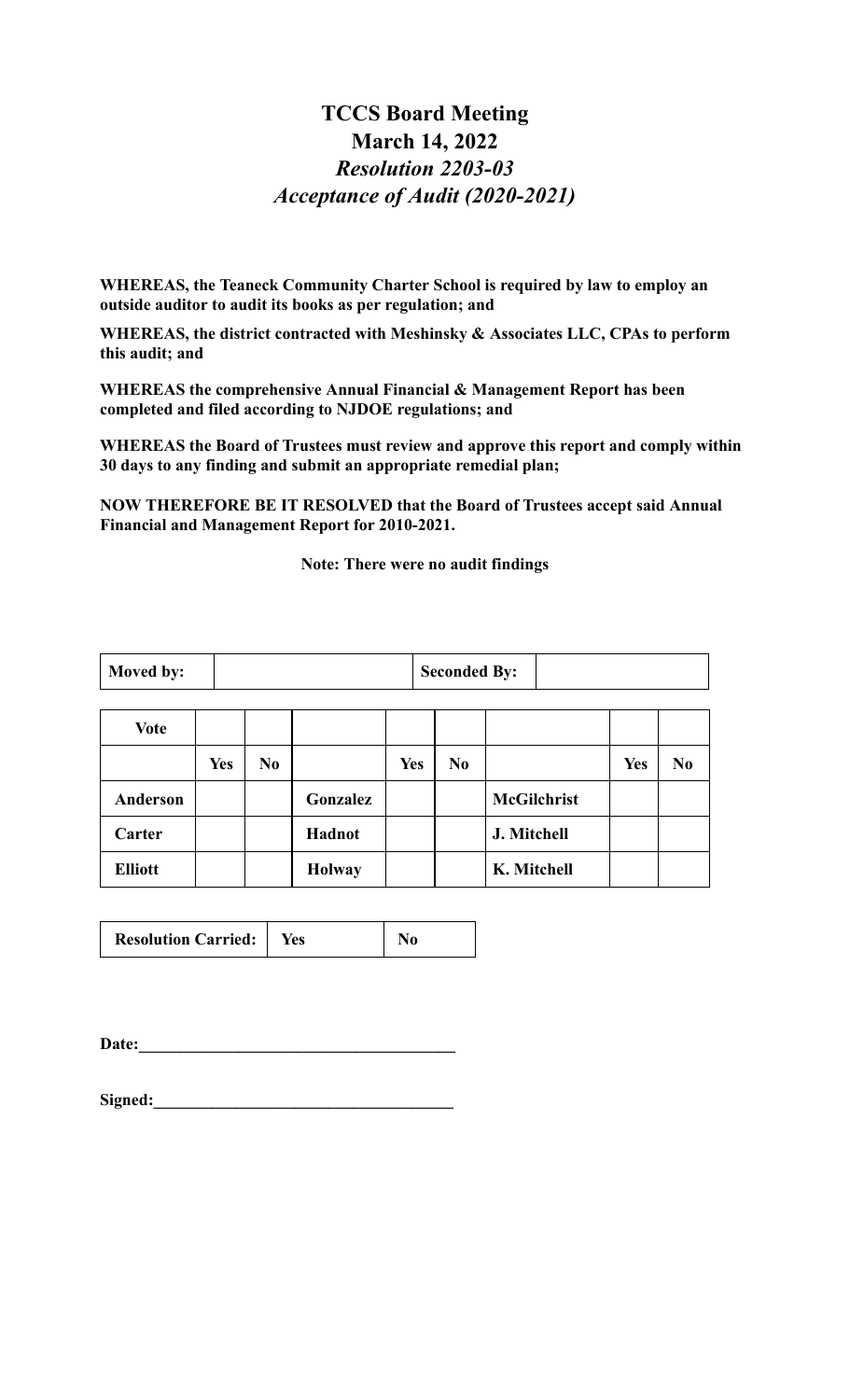### **TCCS Board Meeting March 14, 2022** *Resolution 2203-03 Acceptance of Audit (2020-2021)*

**WHEREAS, the Teaneck Community Charter School is required by law to employ an outside auditor to audit its books as per regulation; and**

**WHEREAS, the district contracted with Meshinsky & Associates LLC, CPAs to perform this audit; and**

**WHEREAS the comprehensive Annual Financial & Management Report has been completed and filed according to NJDOE regulations; and**

**WHEREAS the Board of Trustees must review and approve this report and comply within 30 days to any finding and submit an appropriate remedial plan;**

**NOW THEREFORE BE IT RESOLVED that the Board of Trustees accept said Annual Financial and Management Report for 2010-2021.**

**Note: There were no audit findings**

| Moved by: | <b>Seconded By:</b> |  |
|-----------|---------------------|--|
|-----------|---------------------|--|

| <b>Vote</b>    |            |     |               |     |                |                    |            |                |
|----------------|------------|-----|---------------|-----|----------------|--------------------|------------|----------------|
|                | <b>Yes</b> | No. |               | Yes | N <sub>0</sub> |                    | <b>Yes</b> | N <sub>0</sub> |
| Anderson       |            |     | Gonzalez      |     |                | <b>McGilchrist</b> |            |                |
| Carter         |            |     | Hadnot        |     |                | J. Mitchell        |            |                |
| <b>Elliott</b> |            |     | <b>Holway</b> |     |                | K. Mitchell        |            |                |

| <b>Resolution Carried:</b><br>res |  |  |  |  |
|-----------------------------------|--|--|--|--|
|-----------------------------------|--|--|--|--|

Date:

Signed: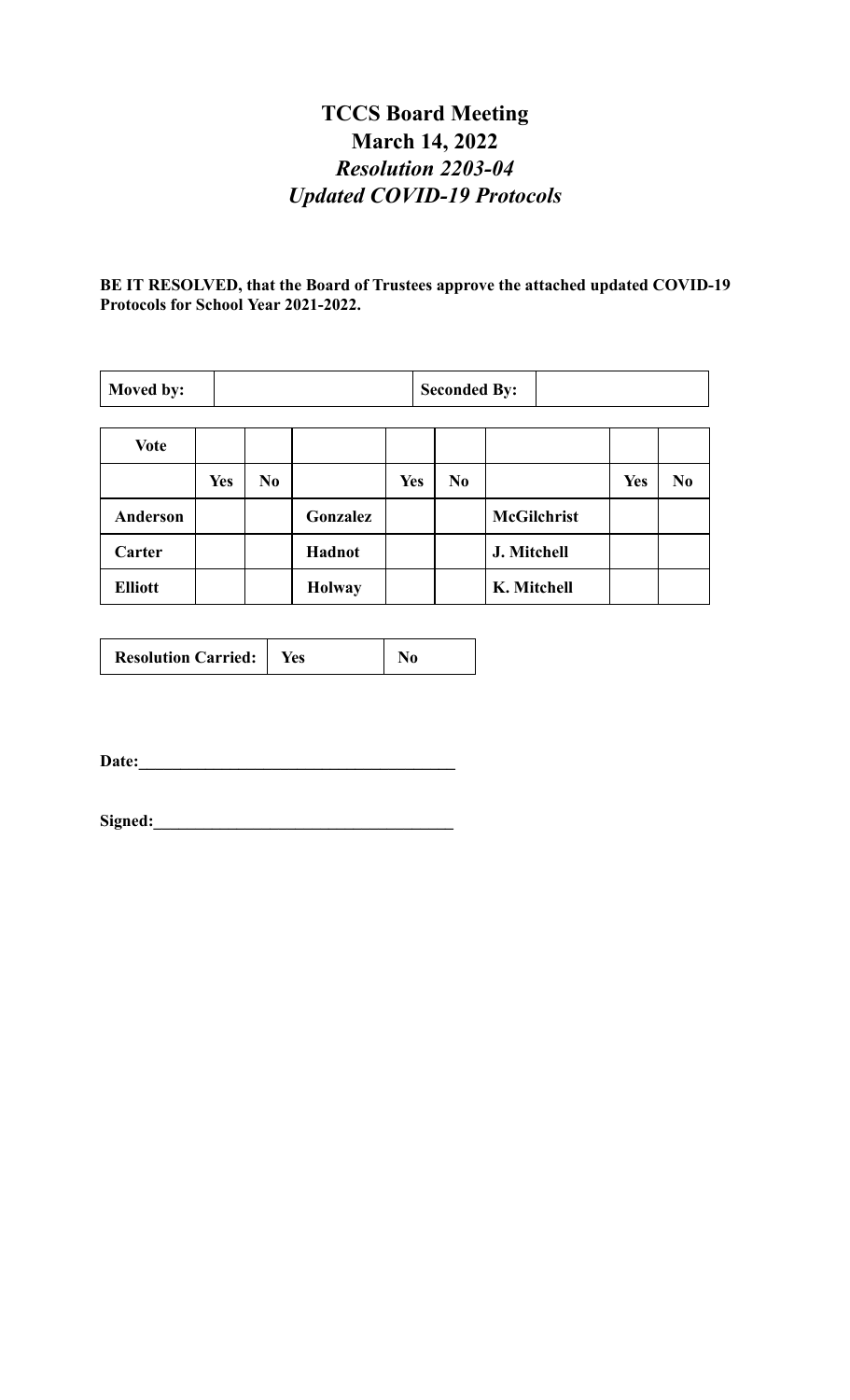# **TCCS Board Meeting March 14, 2022** *Resolution 2203-04 Updated COVID-19 Protocols*

**BE IT RESOLVED, that the Board of Trustees approve the attached updated COVID-19 Protocols for School Year 2021-2022.**

| Moved by:       |            |                |               |            | <b>Seconded By:</b> |                    |            |                |
|-----------------|------------|----------------|---------------|------------|---------------------|--------------------|------------|----------------|
| <b>Vote</b>     |            |                |               |            |                     |                    |            |                |
|                 | <b>Yes</b> | N <sub>0</sub> |               | <b>Yes</b> | N <sub>0</sub>      |                    | <b>Yes</b> | N <sub>0</sub> |
| <b>Anderson</b> |            |                | Gonzalez      |            |                     | <b>McGilchrist</b> |            |                |
| Carter          |            |                | Hadnot        |            |                     | J. Mitchell        |            |                |
| <b>Elliott</b>  |            |                | <b>Holway</b> |            |                     | K. Mitchell        |            |                |

| <b>Resolution Carried:</b> | <b>Yes</b> |  |
|----------------------------|------------|--|
|----------------------------|------------|--|

**Date:\_\_\_\_\_\_\_\_\_\_\_\_\_\_\_\_\_\_\_\_\_\_\_\_\_\_\_\_\_\_\_\_\_\_\_\_\_\_**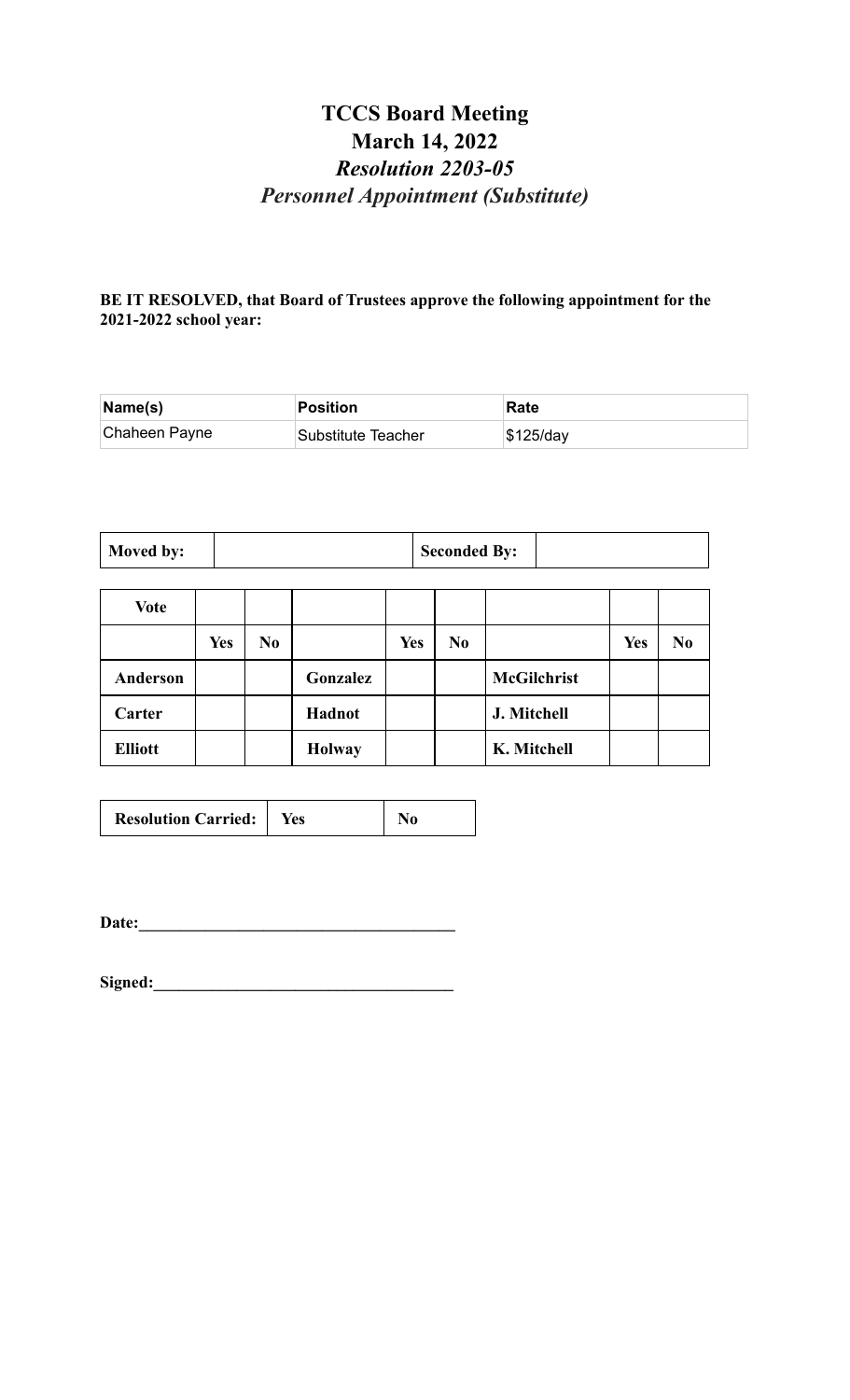# **TCCS Board Meeting March 14, 2022** *Resolution 2203-05 Personnel Appointment (Substitute)*

### **BE IT RESOLVED, that Board of Trustees approve the following appointment for the 2021-2022 school year:**

| Name(s)       | <b>Position</b>    | Rate        |
|---------------|--------------------|-------------|
| Chaheen Payne | Substitute Teacher | $$125$ /day |

| Moved by: | <b>Seconded By:</b> |
|-----------|---------------------|
|-----------|---------------------|

| <b>Vote</b>    |            |                |               |            |                |                    |            |                |
|----------------|------------|----------------|---------------|------------|----------------|--------------------|------------|----------------|
|                | <b>Yes</b> | N <sub>0</sub> |               | <b>Yes</b> | N <sub>0</sub> |                    | <b>Yes</b> | N <sub>0</sub> |
| Anderson       |            |                | Gonzalez      |            |                | <b>McGilchrist</b> |            |                |
| Carter         |            |                | Hadnot        |            |                | J. Mitchell        |            |                |
| <b>Elliott</b> |            |                | <b>Holway</b> |            |                | K. Mitchell        |            |                |

**Date:\_\_\_\_\_\_\_\_\_\_\_\_\_\_\_\_\_\_\_\_\_\_\_\_\_\_\_\_\_\_\_\_\_\_\_\_\_\_**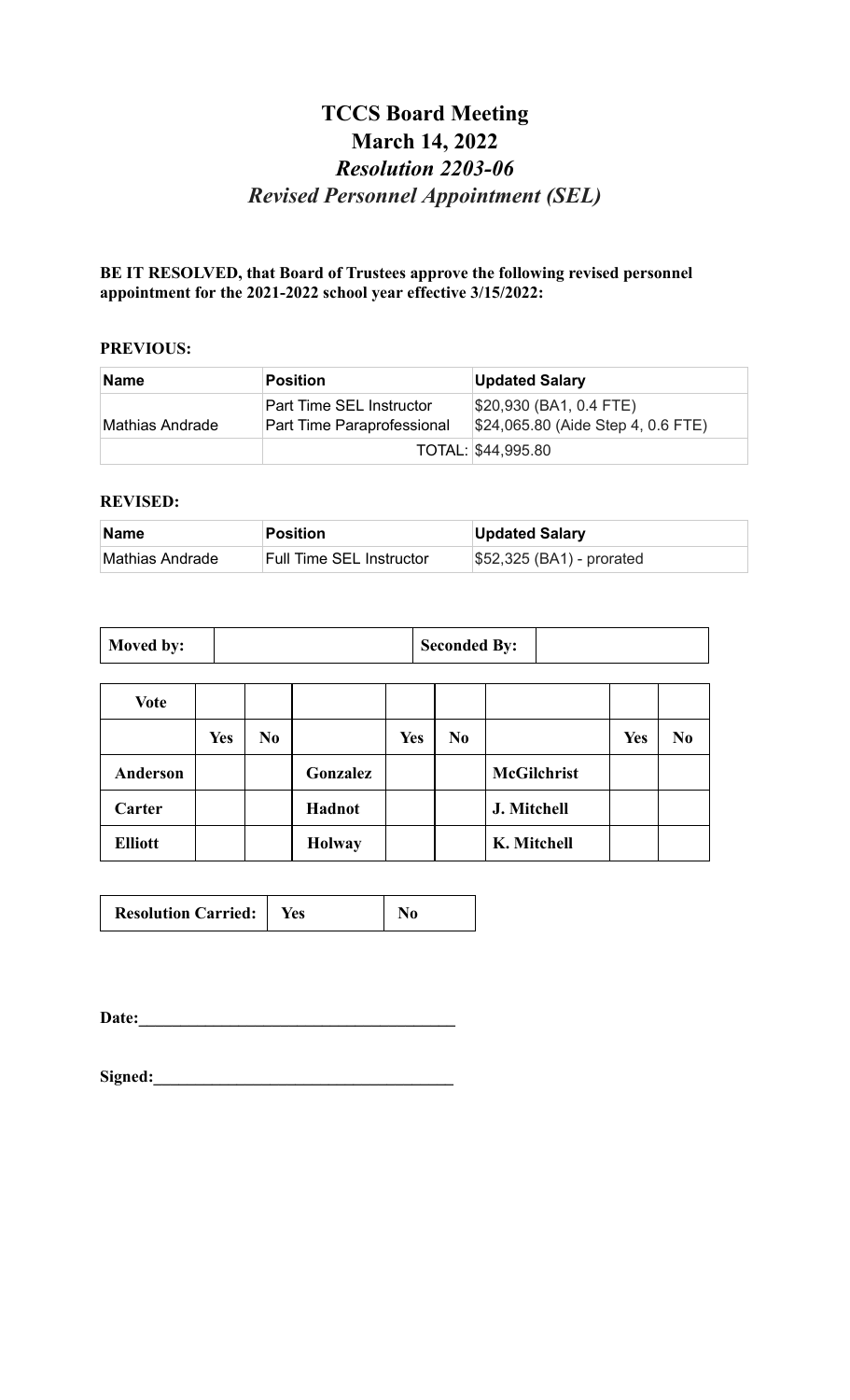# **TCCS Board Meeting March 14, 2022** *Resolution 2203-06 Revised Personnel Appointment (SEL)*

### **BE IT RESOLVED, that Board of Trustees approve the following revised personnel appointment for the 2021-2022 school year effective 3/15/2022:**

#### **PREVIOUS:**

| Name            | <b>Position</b>                                               | <b>Updated Salary</b>                                          |
|-----------------|---------------------------------------------------------------|----------------------------------------------------------------|
| Mathias Andrade | <b>Part Time SEL Instructor</b><br>Part Time Paraprofessional | \$20,930 (BA1, 0.4 FTE)<br>$$24,065.80$ (Aide Step 4, 0.6 FTE) |
|                 |                                                               | TOTAL: \$44,995.80                                             |

#### **REVISED:**

| ∣Name           | Position                 | <b>Updated Salary</b>                   |
|-----------------|--------------------------|-----------------------------------------|
| Mathias Andrade | Full Time SEL Instructor | $\frac{1}{2}$ \$52,325 (BA1) - prorated |

| Moved by: | <b>Seconded By:</b> |  |
|-----------|---------------------|--|
|-----------|---------------------|--|

| Vote           |            |                |               |            |                |                    |            |                |
|----------------|------------|----------------|---------------|------------|----------------|--------------------|------------|----------------|
|                | <b>Yes</b> | N <sub>0</sub> |               | <b>Yes</b> | N <sub>0</sub> |                    | <b>Yes</b> | N <sub>0</sub> |
| Anderson       |            |                | Gonzalez      |            |                | <b>McGilchrist</b> |            |                |
| Carter         |            |                | Hadnot        |            |                | J. Mitchell        |            |                |
| <b>Elliott</b> |            |                | <b>Holway</b> |            |                | K. Mitchell        |            |                |

**Date:\_\_\_\_\_\_\_\_\_\_\_\_\_\_\_\_\_\_\_\_\_\_\_\_\_\_\_\_\_\_\_\_\_\_\_\_\_\_**

| Signed: |  |
|---------|--|
|         |  |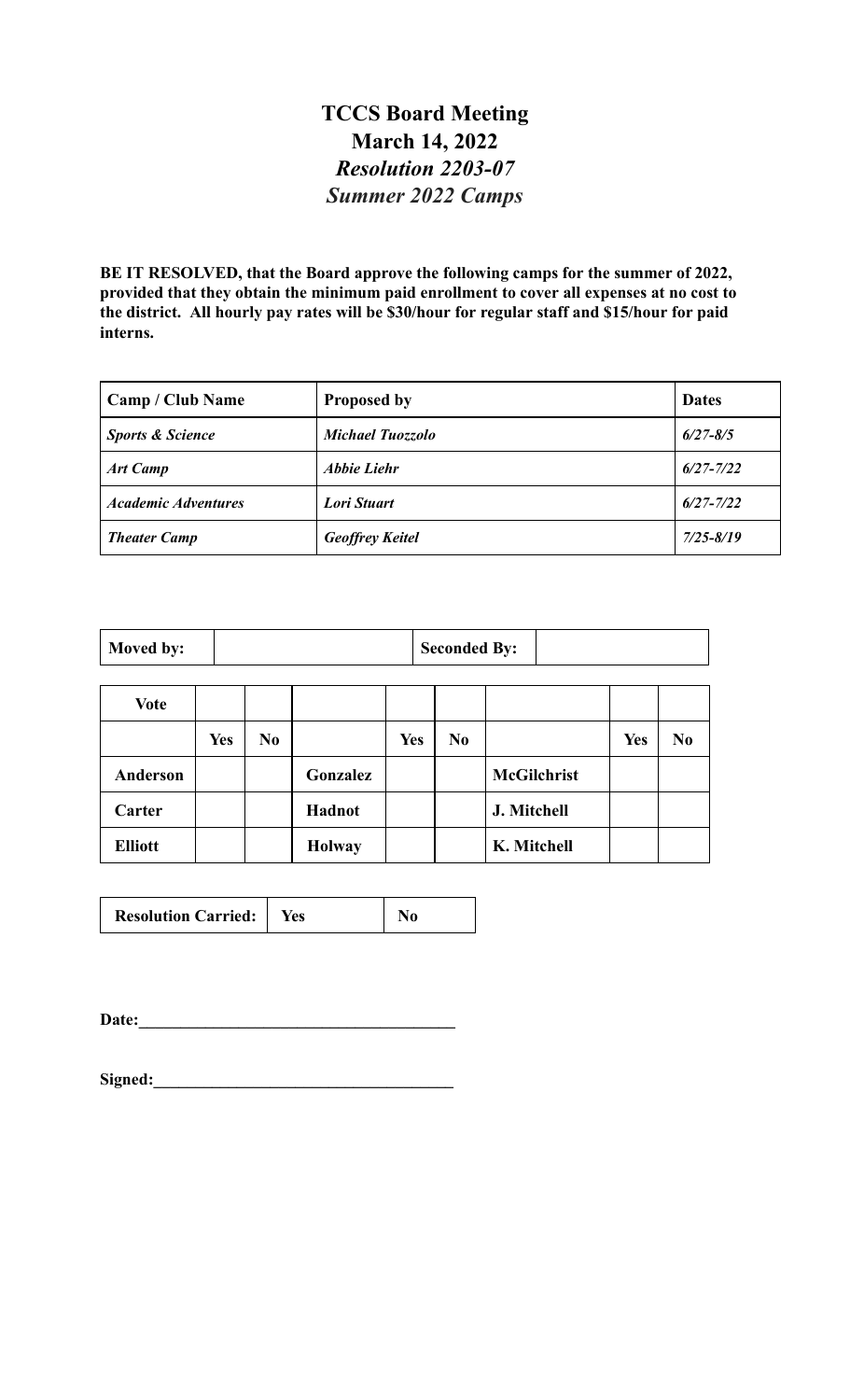### **TCCS Board Meeting March 14, 2022** *Resolution 2203-07 Summer 2022 Camps*

**BE IT RESOLVED, that the Board approve the following camps for the summer of 2022, provided that they obtain the minimum paid enrollment to cover all expenses at no cost to the district. All hourly pay rates will be \$30/hour for regular staff and \$15/hour for paid interns.**

| <b>Camp / Club Name</b>     | <b>Proposed by</b>      | <b>Dates</b>  |
|-----------------------------|-------------------------|---------------|
| <b>Sports &amp; Science</b> | <b>Michael Tuozzolo</b> | $6/27 - 8/5$  |
| <b>Art Camp</b>             | Abbie Liehr             | $6/27 - 7/22$ |
| <b>Academic Adventures</b>  | Lori Stuart             | $6/27 - 7/22$ |
| <b>Theater Camp</b>         | <b>Geoffrey Keitel</b>  | 7/25-8/19     |

| Moved by:       |            |    |               |            |                | <b>Seconded By:</b> |     |                |  |
|-----------------|------------|----|---------------|------------|----------------|---------------------|-----|----------------|--|
| Vote            |            |    |               |            |                |                     |     |                |  |
|                 | <b>Yes</b> | No |               | <b>Yes</b> | N <sub>0</sub> |                     | Yes | N <sub>0</sub> |  |
| <b>Anderson</b> |            |    | Gonzalez      |            |                | <b>McGilchrist</b>  |     |                |  |
| Carter          |            |    | Hadnot        |            |                | J. Mitchell         |     |                |  |
| <b>Elliott</b>  |            |    | <b>Holway</b> |            |                | K. Mitchell         |     |                |  |

| <b>Resolution Carried:</b> | Yes |  |
|----------------------------|-----|--|
|                            |     |  |

Date:

| Signed: |  |  |
|---------|--|--|
|         |  |  |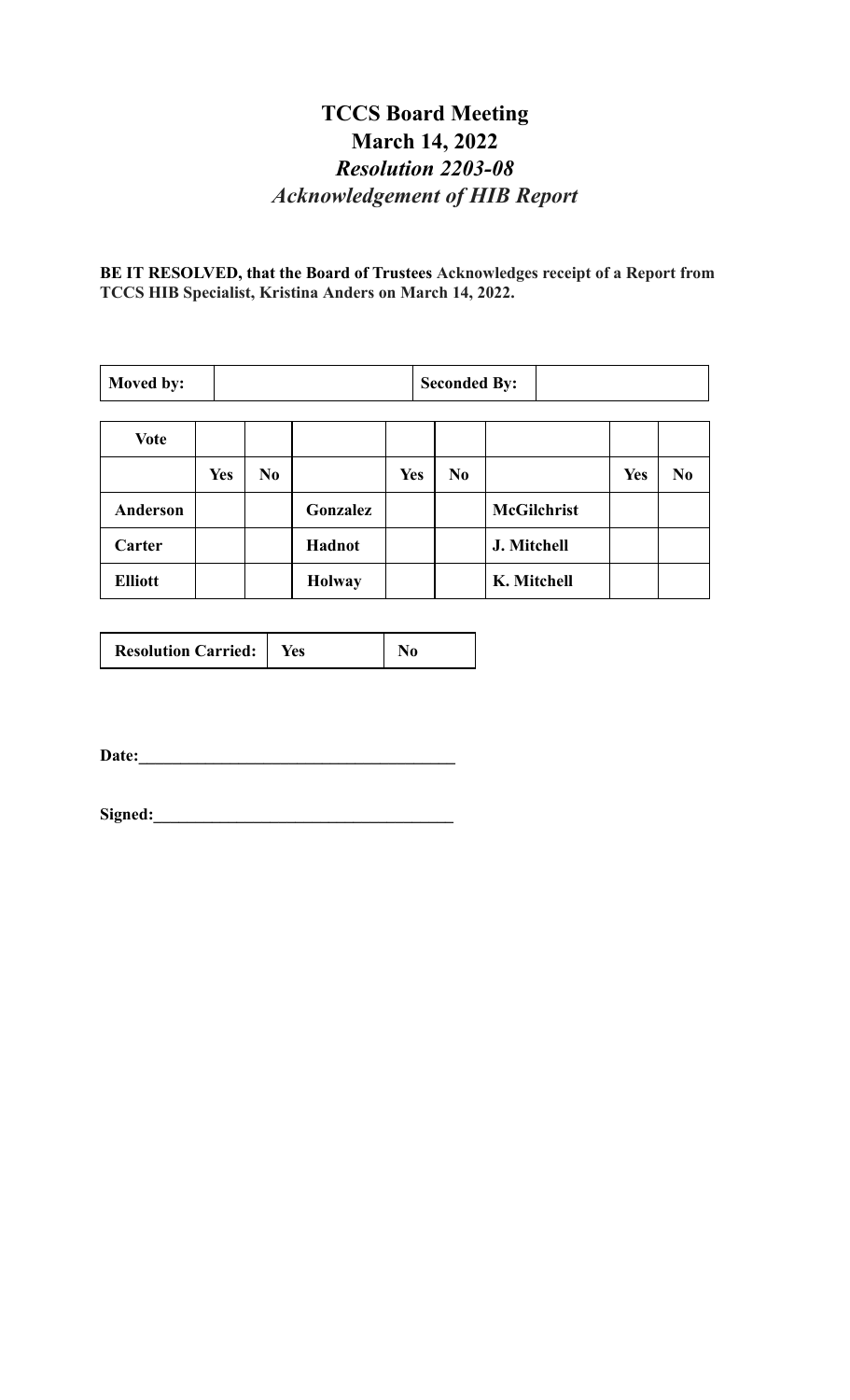### **TCCS Board Meeting March 14, 2022** *Resolution 2203-08 Acknowledgement of HIB Report*

**BE IT RESOLVED, that the Board of Trustees Acknowledges receipt of a Report from TCCS HIB Specialist, Kristina Anders on March 14, 2022.**

| Moved by:       |            | <b>Seconded By:</b> |               |            |                |                    |            |                |
|-----------------|------------|---------------------|---------------|------------|----------------|--------------------|------------|----------------|
| <b>Vote</b>     |            |                     |               |            |                |                    |            |                |
|                 | <b>Yes</b> | No                  |               | <b>Yes</b> | N <sub>0</sub> |                    | <b>Yes</b> | N <sub>0</sub> |
| <b>Anderson</b> |            |                     | Gonzalez      |            |                | <b>McGilchrist</b> |            |                |
| Carter          |            |                     | Hadnot        |            |                | J. Mitchell        |            |                |
| <b>Elliott</b>  |            |                     | <b>Holway</b> |            |                | K. Mitchell        |            |                |

| <b>Resolution Carried:</b> | Yes |  |
|----------------------------|-----|--|
|----------------------------|-----|--|

**Date:\_\_\_\_\_\_\_\_\_\_\_\_\_\_\_\_\_\_\_\_\_\_\_\_\_\_\_\_\_\_\_\_\_\_\_\_\_\_**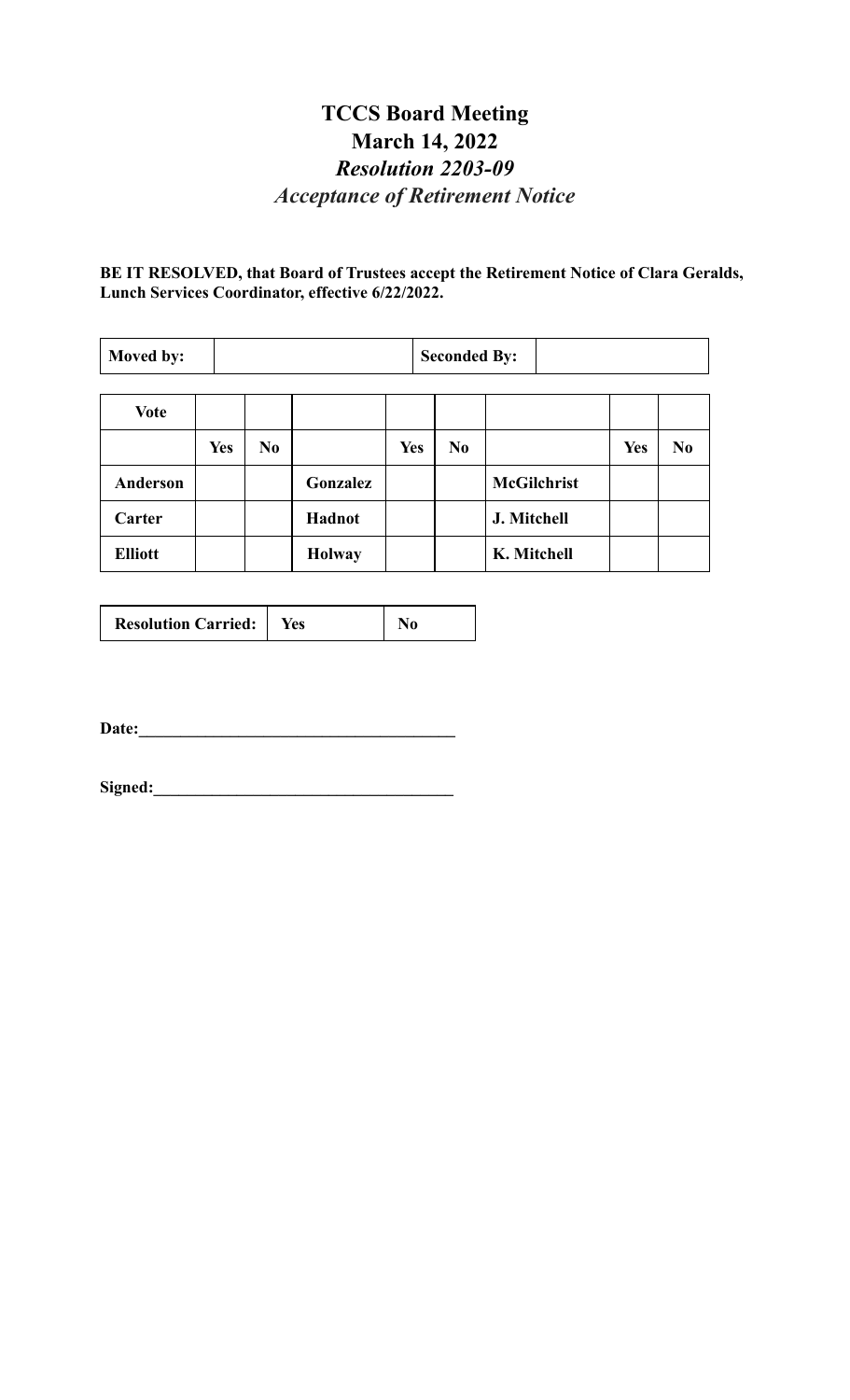# **TCCS Board Meeting March 14, 2022** *Resolution 2203-09 Acceptance of Retirement Notice*

**BE IT RESOLVED, that Board of Trustees accept the Retirement Notice of Clara Geralds, Lunch Services Coordinator, effective 6/22/2022.**

| Moved by:       |            |                |               |            | <b>Seconded By:</b> |                    |            |                |
|-----------------|------------|----------------|---------------|------------|---------------------|--------------------|------------|----------------|
| <b>Vote</b>     |            |                |               |            |                     |                    |            |                |
|                 | <b>Yes</b> | N <sub>0</sub> |               | <b>Yes</b> | N <sub>0</sub>      |                    | <b>Yes</b> | N <sub>0</sub> |
| <b>Anderson</b> |            |                | Gonzalez      |            |                     | <b>McGilchrist</b> |            |                |
| Carter          |            |                | Hadnot        |            |                     | J. Mitchell        |            |                |
| <b>Elliott</b>  |            |                | <b>Holway</b> |            |                     | K. Mitchell        |            |                |

| <b>Resolution Carried:</b> | Yes |  |
|----------------------------|-----|--|
|----------------------------|-----|--|

**Date:\_\_\_\_\_\_\_\_\_\_\_\_\_\_\_\_\_\_\_\_\_\_\_\_\_\_\_\_\_\_\_\_\_\_\_\_\_\_**

Signed: